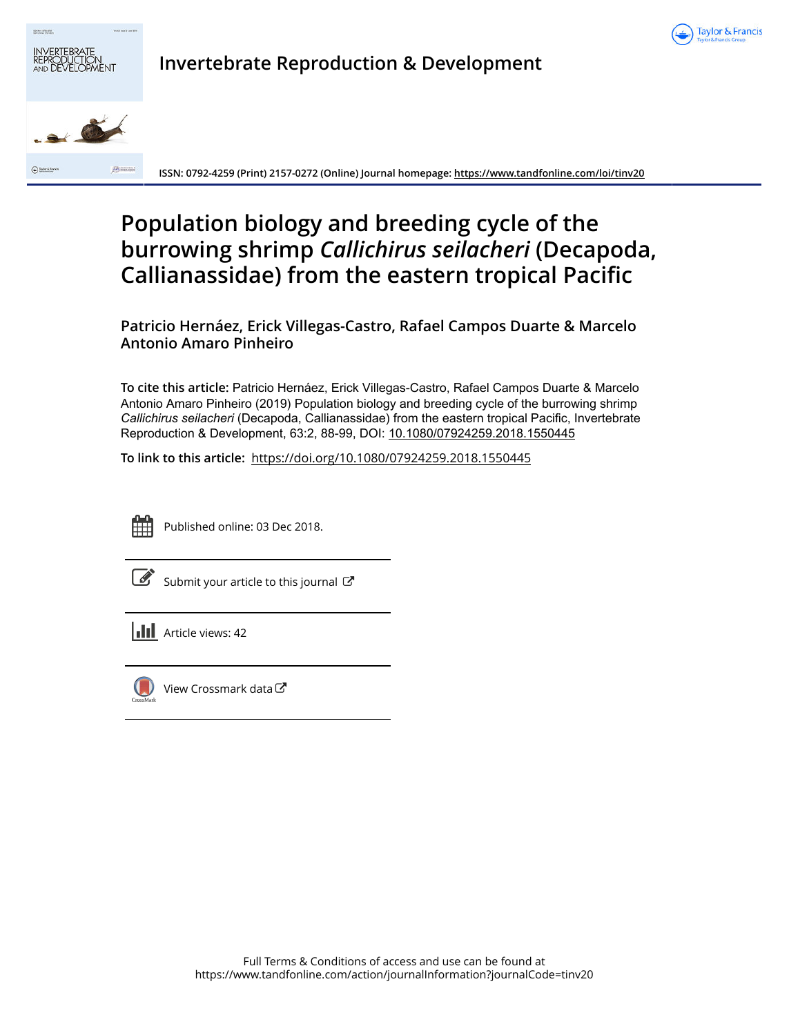



**Invertebrate Reproduction & Development**

**ISSN: 0792-4259 (Print) 2157-0272 (Online) Journal homepage:<https://www.tandfonline.com/loi/tinv20>**

# **Population biology and breeding cycle of the burrowing shrimp** *Callichirus seilacheri* **(Decapoda, Callianassidae) from the eastern tropical Pacific**

**Patricio Hernáez, Erick Villegas-Castro, Rafael Campos Duarte & Marcelo Antonio Amaro Pinheiro**

**To cite this article:** Patricio Hernáez, Erick Villegas-Castro, Rafael Campos Duarte & Marcelo Antonio Amaro Pinheiro (2019) Population biology and breeding cycle of the burrowing shrimp *Callichirusseilacheri* (Decapoda, Callianassidae) from the eastern tropical Pacific, Invertebrate Reproduction & Development, 63:2, 88-99, DOI: [10.1080/07924259.2018.1550445](https://www.tandfonline.com/action/showCitFormats?doi=10.1080/07924259.2018.1550445)

**To link to this article:** <https://doi.org/10.1080/07924259.2018.1550445>



Published online: 03 Dec 2018.

[Submit your article to this journal](https://www.tandfonline.com/action/authorSubmission?journalCode=tinv20&show=instructions)  $\mathbb{Z}$ 

**III** Article views: 42



[View Crossmark data](http://crossmark.crossref.org/dialog/?doi=10.1080/07924259.2018.1550445&domain=pdf&date_stamp=2018-12-03) $G$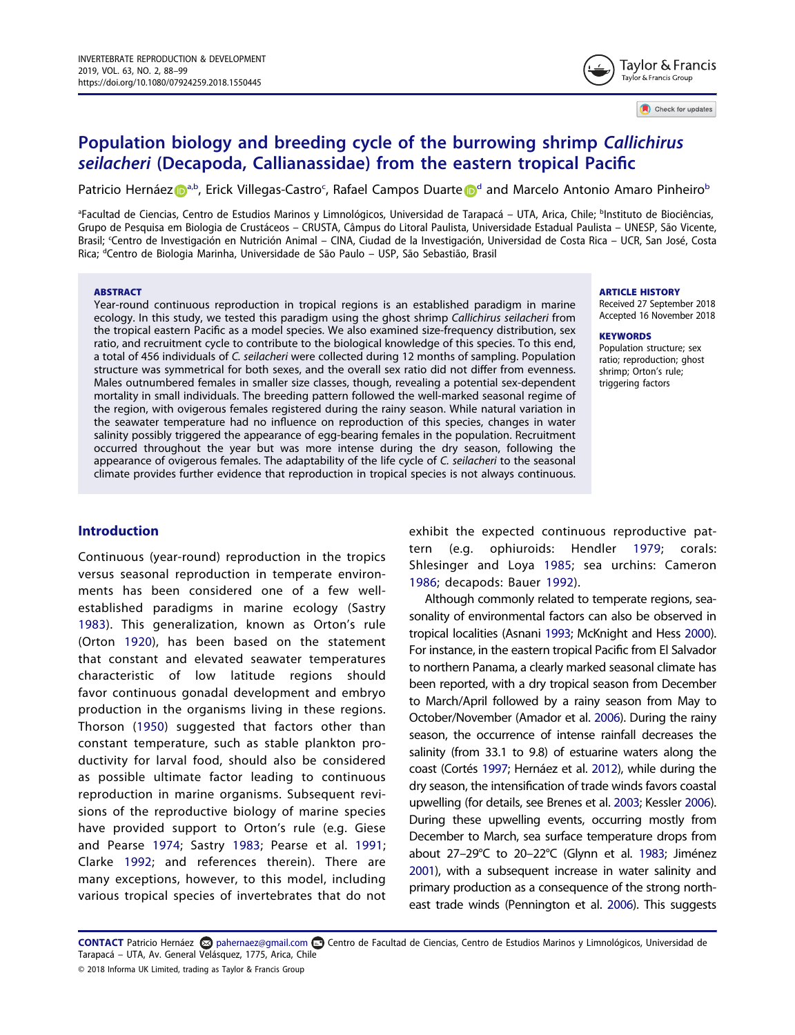# Population biology and breeding cycle of the burrowing shrimp Callichirus seilacheri (Decapoda, Callianassidae) from the eastern tropical Pacific

P[a](#page-1-0)tricio Hernáez D<sup>a[,b](#page-1-1)</sup>, Eri[c](#page-1-2)k Villegas-Castro<sup>c</sup>, Rafael Campos Duarte D<sup>[d](#page-1-3)</sup> and Marcelo Antonio Amaro Pinheiro<sup>b</sup>

<span id="page-1-3"></span><span id="page-1-2"></span><span id="page-1-1"></span>ªFacultad de Ciencias, Centro de Estudios Marinos y Limnológicos, Universidad de Tarapacá – UTA, Arica, Chile; <sup>b</sup>Instituto de Biociências, Grupo de Pesquisa em Biologia de Crustáceos – CRUSTA, Câmpus do Litoral Paulista, Universidade Estadual Paulista – UNESP, São Vicente, Brasil; <sup>c</sup> Centro de Investigación en Nutrición Animal – CINA, Ciudad de la Investigación, Universidad de Costa Rica – UCR, San José, Costa Rica; <sup>d</sup>Centro de Biologia Marinha, Universidade de São Paulo - USP, São Sebastião, Brasil

#### **ABSTRACT**

Year-round continuous reproduction in tropical regions is an established paradigm in marine ecology. In this study, we tested this paradigm using the ghost shrimp Callichirus seilacheri from the tropical eastern Pacific as a model species. We also examined size-frequency distribution, sex ratio, and recruitment cycle to contribute to the biological knowledge of this species. To this end, a total of 456 individuals of C. seilacheri were collected during 12 months of sampling. Population structure was symmetrical for both sexes, and the overall sex ratio did not differ from evenness. Males outnumbered females in smaller size classes, though, revealing a potential sex-dependent mortality in small individuals. The breeding pattern followed the well-marked seasonal regime of the region, with ovigerous females registered during the rainy season. While natural variation in the seawater temperature had no influence on reproduction of this species, changes in water salinity possibly triggered the appearance of egg-bearing females in the population. Recruitment occurred throughout the year but was more intense during the dry season, following the appearance of ovigerous females. The adaptability of the life cycle of C. seilacheri to the seasonal climate provides further evidence that reproduction in tropical species is not always continuous.

#### **ARTICLE HISTORY**

Received 27 September 2018 Accepted 16 November 2018

Tavlor & Francis Taylor & Francis Group

Check for updates

#### **KEYWORDS**

Population structure; sex ratio; reproduction; ghost shrimp; Orton's rule; triggering factors

# Introduction

<span id="page-1-16"></span><span id="page-1-14"></span>Continuous (year-round) reproduction in the tropics versus seasonal reproduction in temperate environments has been considered one of a few wellestablished paradigms in marine ecology (Sastry [1983](#page-12-0)). This generalization, known as Orton's rule (Orton [1920\)](#page-12-1), has been based on the statement that constant and elevated seawater temperatures characteristic of low latitude regions should favor continuous gonadal development and embryo production in the organisms living in these regions. Thorson ([1950](#page-12-2)) suggested that factors other than constant temperature, such as stable plankton productivity for larval food, should also be considered as possible ultimate factor leading to continuous reproduction in marine organisms. Subsequent revisions of the reproductive biology of marine species have provided support to Orton's rule (e.g. Giese and Pearse [1974](#page-11-0); Sastry [1983;](#page-12-0) Pearse et al. [1991;](#page-12-3) Clarke [1992](#page-11-1); and references therein). There are many exceptions, however, to this model, including various tropical species of invertebrates that do not

<span id="page-1-13"></span><span id="page-1-8"></span>exhibit the expected continuous reproductive pattern (e.g. ophiuroids: Hendler [1979;](#page-11-2) corals: Shlesinger and Loya [1985](#page-12-4); sea urchins: Cameron [1986](#page-11-3); decapods: Bauer [1992\)](#page-10-0).

<span id="page-1-15"></span><span id="page-1-12"></span><span id="page-1-10"></span><span id="page-1-7"></span><span id="page-1-6"></span><span id="page-1-5"></span><span id="page-1-4"></span>Although commonly related to temperate regions, seasonality of environmental factors can also be observed in tropical localities (Asnani [1993](#page-10-1); McKnight and Hess [2000\)](#page-12-5). For instance, in the eastern tropical Pacific from El Salvador to northern Panama, a clearly marked seasonal climate has been reported, with a dry tropical season from December to March/April followed by a rainy season from May to October/November (Amador et al. [2006](#page-10-2)). During the rainy season, the occurrence of intense rainfall decreases the salinity (from 33.1 to 9.8) of estuarine waters along the coast (Cortés [1997](#page-11-4); Hernáez et al. [2012](#page-11-5)), while during the dry season, the intensification of trade winds favors coastal upwelling (for details, see Brenes et al. [2003](#page-11-6); Kessler [2006\)](#page-12-6). During these upwelling events, occurring mostly from December to March, sea surface temperature drops from about 27–29°C to 20–22°C (Glynn et al. [1983;](#page-11-7) Jiménez [2001](#page-12-7)), with a subsequent increase in water salinity and primary production as a consequence of the strong northeast trade winds (Pennington et al. [2006](#page-12-8)). This suggests

<span id="page-1-11"></span><span id="page-1-9"></span><span id="page-1-0"></span>CONTACT Patricio Hernáez ۞ pahernaez@gmail.com **co** Centro de Facultad de Ciencias, Centro de Estudios Marinos y Limnológicos, Universidad de Tarapacá – UTA, Av. General Velásquez, 1775, Arica, Chile

<sup>© 2018</sup> Informa UK Limited, trading as Taylor & Francis Group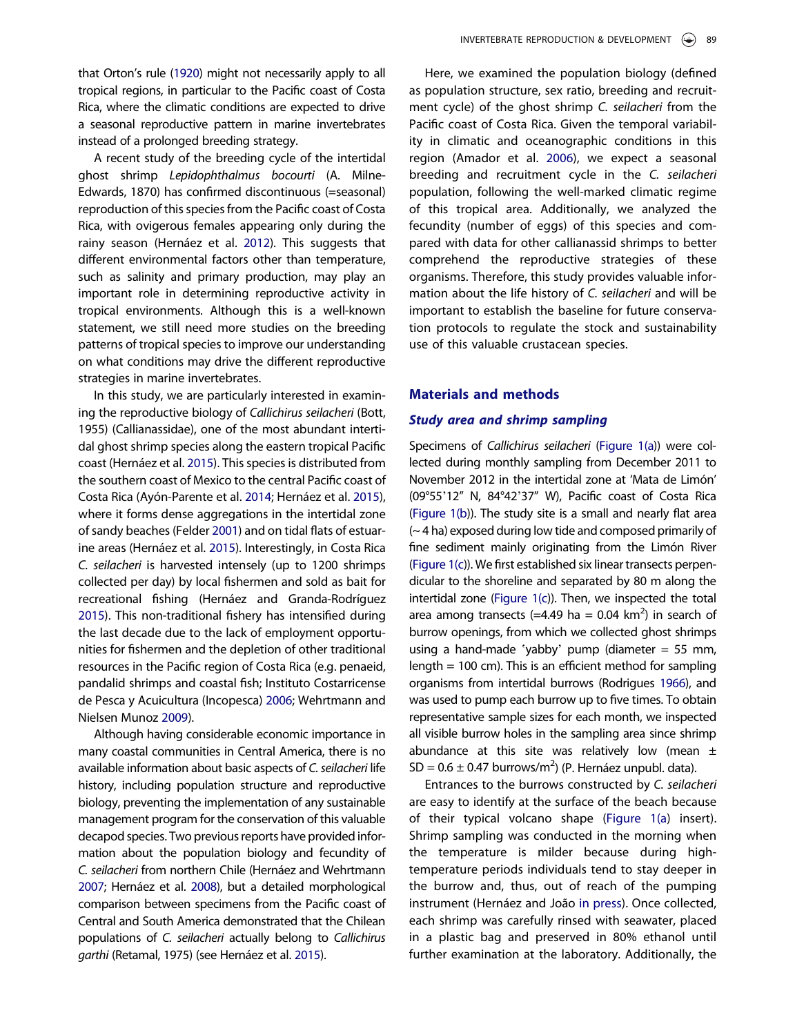that Orton's rule [\(1920\)](#page-12-1) might not necessarily apply to all tropical regions, in particular to the Pacific coast of Costa Rica, where the climatic conditions are expected to drive a seasonal reproductive pattern in marine invertebrates instead of a prolonged breeding strategy.

A recent study of the breeding cycle of the intertidal ghost shrimp Lepidophthalmus bocourti (A. Milne-Edwards, 1870) has confirmed discontinuous (=seasonal) reproduction of this species from the Pacific coast of Costa Rica, with ovigerous females appearing only during the rainy season (Hernáez et al. [2012\)](#page-11-5). This suggests that different environmental factors other than temperature, such as salinity and primary production, may play an important role in determining reproductive activity in tropical environments. Although this is a well-known statement, we still need more studies on the breeding patterns of tropical species to improve our understanding on what conditions may drive the different reproductive strategies in marine invertebrates.

<span id="page-2-1"></span><span id="page-2-0"></span>In this study, we are particularly interested in examining the reproductive biology of Callichirus seilacheri (Bott, 1955) (Callianassidae), one of the most abundant intertidal ghost shrimp species along the eastern tropical Pacific coast (Hernáez et al. [2015\)](#page-11-8). This species is distributed from the southern coast of Mexico to the central Pacific coast of Costa Rica (Ayón-Parente et al. [2014](#page-10-3); Hernáez et al. [2015\)](#page-11-8), where it forms dense aggregations in the intertidal zone of sandy beaches (Felder [2001\)](#page-11-9) and on tidal flats of estuarine areas (Hernáez et al. [2015](#page-11-8)). Interestingly, in Costa Rica C. seilacheri is harvested intensely (up to 1200 shrimps collected per day) by local fishermen and sold as bait for recreational fishing (Hernáez and Granda-Rodríguez [2015](#page-11-10)). This non-traditional fishery has intensified during the last decade due to the lack of employment opportunities for fishermen and the depletion of other traditional resources in the Pacific region of Costa Rica (e.g. penaeid, pandalid shrimps and coastal fish; Instituto Costarricense de Pesca y Acuicultura (Incopesca) [2006;](#page-12-9) Wehrtmann and Nielsen Munoz [2009](#page-12-10)).

<span id="page-2-9"></span><span id="page-2-7"></span><span id="page-2-6"></span><span id="page-2-5"></span><span id="page-2-3"></span><span id="page-2-2"></span>Although having considerable economic importance in many coastal communities in Central America, there is no available information about basic aspects of C. seilacheri life history, including population structure and reproductive biology, preventing the implementation of any sustainable management program for the conservation of this valuable decapod species. Two previous reports have provided information about the population biology and fecundity of C. seilacheri from northern Chile (Hernáez and Wehrtmann [2007;](#page-11-11) Hernáez et al. [2008](#page-11-12)), but a detailed morphological comparison between specimens from the Pacific coast of Central and South America demonstrated that the Chilean populations of C. seilacheri actually belong to Callichirus garthi (Retamal, 1975) (see Hernáez et al. [2015\)](#page-11-8).

Here, we examined the population biology (defined as population structure, sex ratio, breeding and recruitment cycle) of the ghost shrimp C. seilacheri from the Pacific coast of Costa Rica. Given the temporal variability in climatic and oceanographic conditions in this region (Amador et al. [2006](#page-10-2)), we expect a seasonal breeding and recruitment cycle in the C. seilacheri population, following the well-marked climatic regime of this tropical area. Additionally, we analyzed the fecundity (number of eggs) of this species and compared with data for other callianassid shrimps to better comprehend the reproductive strategies of these organisms. Therefore, this study provides valuable information about the life history of C. seilacheri and will be important to establish the baseline for future conservation protocols to regulate the stock and sustainability use of this valuable crustacean species.

### Materials and methods

#### Study area and shrimp sampling

Specimens of Callichirus seilacheri ([Figure 1\(a](#page-3-0))) were collected during monthly sampling from December 2011 to November 2012 in the intertidal zone at 'Mata de Limón' (09°55'12" N, 84°42'37" W), Pacific coast of Costa Rica [\(Figure 1\(b](#page-3-0))). The study site is a small and nearly flat area (~ 4 ha) exposed during low tide and composed primarily of fine sediment mainly originating from the Limón River [\(Figure 1\(c](#page-3-0))). We first established six linear transects perpendicular to the shoreline and separated by 80 m along the intertidal zone [\(Figure 1\(c\)](#page-3-0)). Then, we inspected the total area among transects (=4.49 ha =  $0.04 \text{ km}^2$ ) in search of burrow openings, from which we collected ghost shrimps using a hand-made 'yabby' pump (diameter  $= 55$  mm, length = 100 cm). This is an efficient method for sampling organisms from intertidal burrows (Rodrigues [1966](#page-12-11)), and was used to pump each burrow up to five times. To obtain representative sample sizes for each month, we inspected all visible burrow holes in the sampling area since shrimp abundance at this site was relatively low (mean  $\pm$  $SD = 0.6 \pm 0.47$  burrows/m<sup>2</sup>) (P. Hernáez unpubl. data).

<span id="page-2-8"></span><span id="page-2-4"></span>Entrances to the burrows constructed by C. seilacheri are easy to identify at the surface of the beach because of their typical volcano shape ([Figure 1\(a](#page-3-0)) insert). Shrimp sampling was conducted in the morning when the temperature is milder because during hightemperature periods individuals tend to stay deeper in the burrow and, thus, out of reach of the pumping instrument (Hernáez and João [in press\)](#page-11-13). Once collected, each shrimp was carefully rinsed with seawater, placed in a plastic bag and preserved in 80% ethanol until further examination at the laboratory. Additionally, the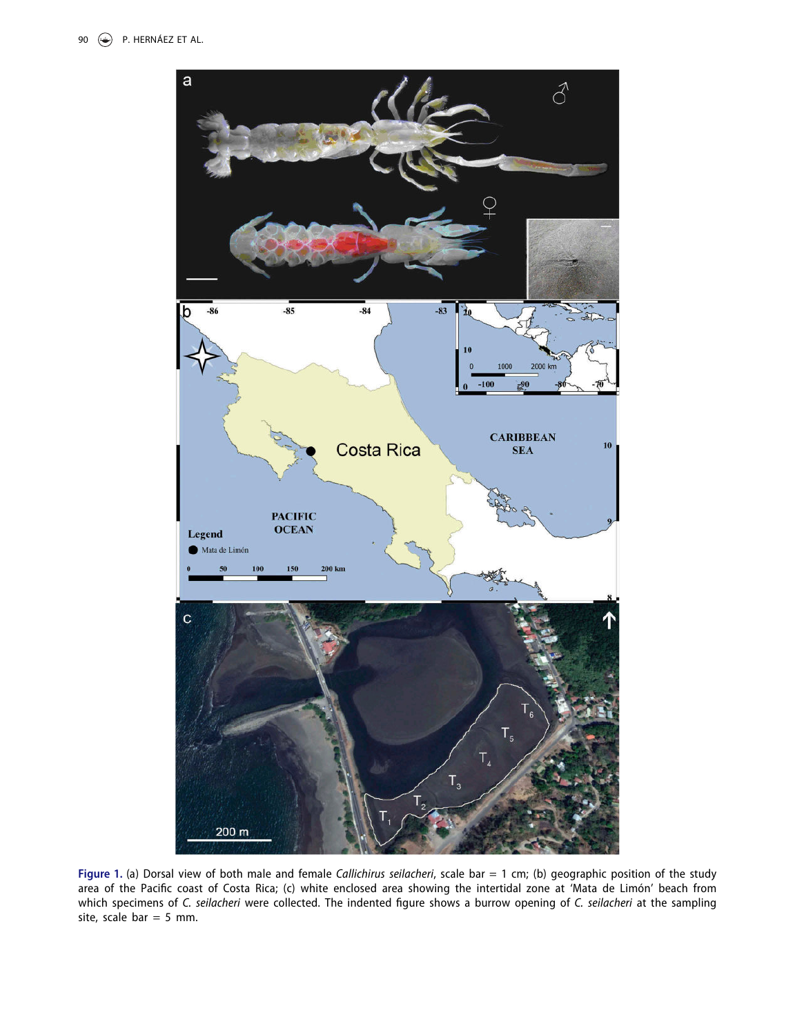<span id="page-3-0"></span>

Figure 1. (a) Dorsal view of both male and female Callichirus seilacheri, scale bar = 1 cm; (b) geographic position of the study area of the Pacific coast of Costa Rica; (c) white enclosed area showing the intertidal zone at 'Mata de Limón' beach from which specimens of C. seilacheri were collected. The indented figure shows a burrow opening of C. seilacheri at the sampling site, scale bar  $= 5$  mm.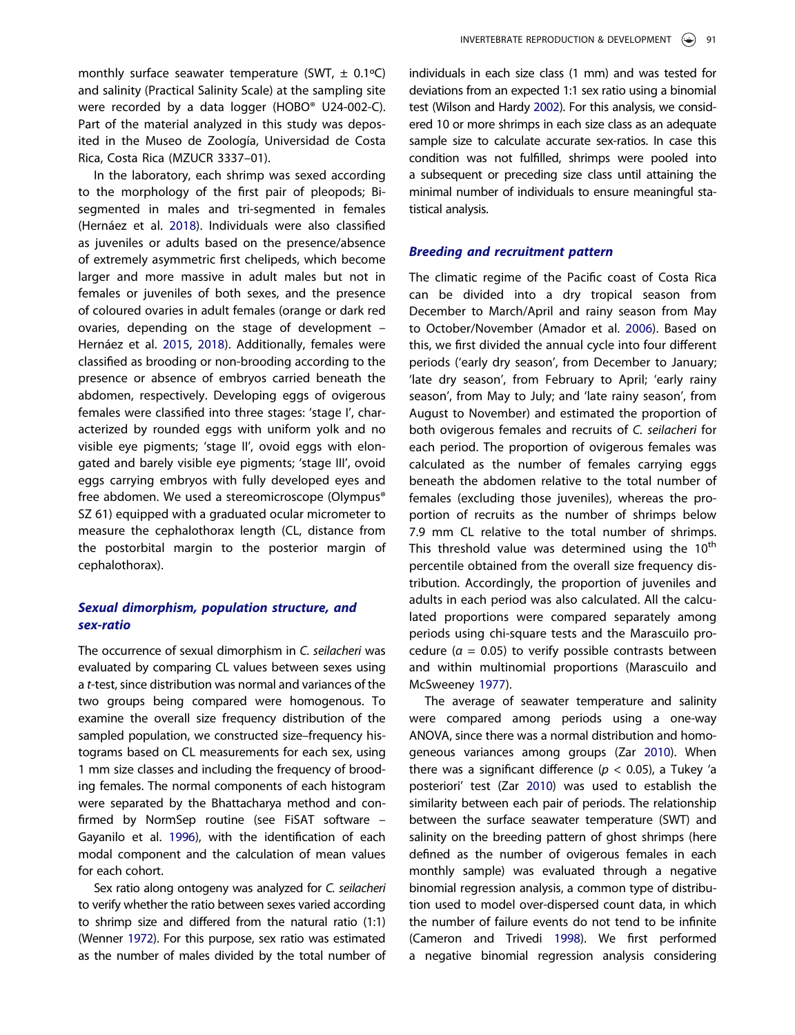monthly surface seawater temperature (SWT,  $\pm$  0.1 °C) and salinity (Practical Salinity Scale) at the sampling site were recorded by a data logger (HOBO® U24-002-C). Part of the material analyzed in this study was deposited in the Museo de Zoología, Universidad de Costa Rica, Costa Rica (MZUCR 3337–01).

<span id="page-4-2"></span>In the laboratory, each shrimp was sexed according to the morphology of the first pair of pleopods; Bisegmented in males and tri-segmented in females (Hernáez et al. [2018](#page-11-14)). Individuals were also classified as juveniles or adults based on the presence/absence of extremely asymmetric first chelipeds, which become larger and more massive in adult males but not in females or juveniles of both sexes, and the presence of coloured ovaries in adult females (orange or dark red ovaries, depending on the stage of development – Hernáez et al. [2015](#page-11-8), [2018](#page-11-14)). Additionally, females were classified as brooding or non-brooding according to the presence or absence of embryos carried beneath the abdomen, respectively. Developing eggs of ovigerous females were classified into three stages: 'stage I', characterized by rounded eggs with uniform yolk and no visible eye pigments; 'stage II', ovoid eggs with elongated and barely visible eye pigments; 'stage III', ovoid eggs carrying embryos with fully developed eyes and free abdomen. We used a stereomicroscope (Olympus® SZ 61) equipped with a graduated ocular micrometer to measure the cephalothorax length (CL, distance from the postorbital margin to the posterior margin of cephalothorax).

# Sexual dimorphism, population structure, and sex-ratio

The occurrence of sexual dimorphism in C. seilacheri was evaluated by comparing CL values between sexes using a t-test, since distribution was normal and variances of the two groups being compared were homogenous. To examine the overall size frequency distribution of the sampled population, we constructed size–frequency histograms based on CL measurements for each sex, using 1 mm size classes and including the frequency of brooding females. The normal components of each histogram were separated by the Bhattacharya method and confirmed by NormSep routine (see FiSAT software – Gayanilo et al. [1996\)](#page-11-15), with the identification of each modal component and the calculation of mean values for each cohort.

<span id="page-4-4"></span><span id="page-4-1"></span>Sex ratio along ontogeny was analyzed for C. seilacheri to verify whether the ratio between sexes varied according to shrimp size and differed from the natural ratio (1:1) (Wenner [1972](#page-12-12)). For this purpose, sex ratio was estimated as the number of males divided by the total number of <span id="page-4-5"></span>individuals in each size class (1 mm) and was tested for deviations from an expected 1:1 sex ratio using a binomial test (Wilson and Hardy [2002\)](#page-12-13). For this analysis, we considered 10 or more shrimps in each size class as an adequate sample size to calculate accurate sex-ratios. In case this condition was not fulfilled, shrimps were pooled into a subsequent or preceding size class until attaining the minimal number of individuals to ensure meaningful statistical analysis.

#### Breeding and recruitment pattern

The climatic regime of the Pacific coast of Costa Rica can be divided into a dry tropical season from December to March/April and rainy season from May to October/November (Amador et al. [2006](#page-10-2)). Based on this, we first divided the annual cycle into four different periods ('early dry season', from December to January; 'late dry season', from February to April; 'early rainy season', from May to July; and 'late rainy season', from August to November) and estimated the proportion of both ovigerous females and recruits of C. seilacheri for each period. The proportion of ovigerous females was calculated as the number of females carrying eggs beneath the abdomen relative to the total number of females (excluding those juveniles), whereas the proportion of recruits as the number of shrimps below 7.9 mm CL relative to the total number of shrimps. This threshold value was determined using the  $10<sup>th</sup>$ percentile obtained from the overall size frequency distribution. Accordingly, the proportion of juveniles and adults in each period was also calculated. All the calculated proportions were compared separately among periods using chi-square tests and the Marascuilo procedure ( $\alpha$  = 0.05) to verify possible contrasts between and within multinomial proportions (Marascuilo and McSweeney [1977\)](#page-12-14).

<span id="page-4-6"></span><span id="page-4-3"></span><span id="page-4-0"></span>The average of seawater temperature and salinity were compared among periods using a one-way ANOVA, since there was a normal distribution and homogeneous variances among groups (Zar [2010](#page-12-15)). When there was a significant difference ( $p < 0.05$ ), a Tukey 'a posteriori' test (Zar [2010\)](#page-12-15) was used to establish the similarity between each pair of periods. The relationship between the surface seawater temperature (SWT) and salinity on the breeding pattern of ghost shrimps (here defined as the number of ovigerous females in each monthly sample) was evaluated through a negative binomial regression analysis, a common type of distribution used to model over-dispersed count data, in which the number of failure events do not tend to be infinite (Cameron and Trivedi [1998\)](#page-11-16). We first performed a negative binomial regression analysis considering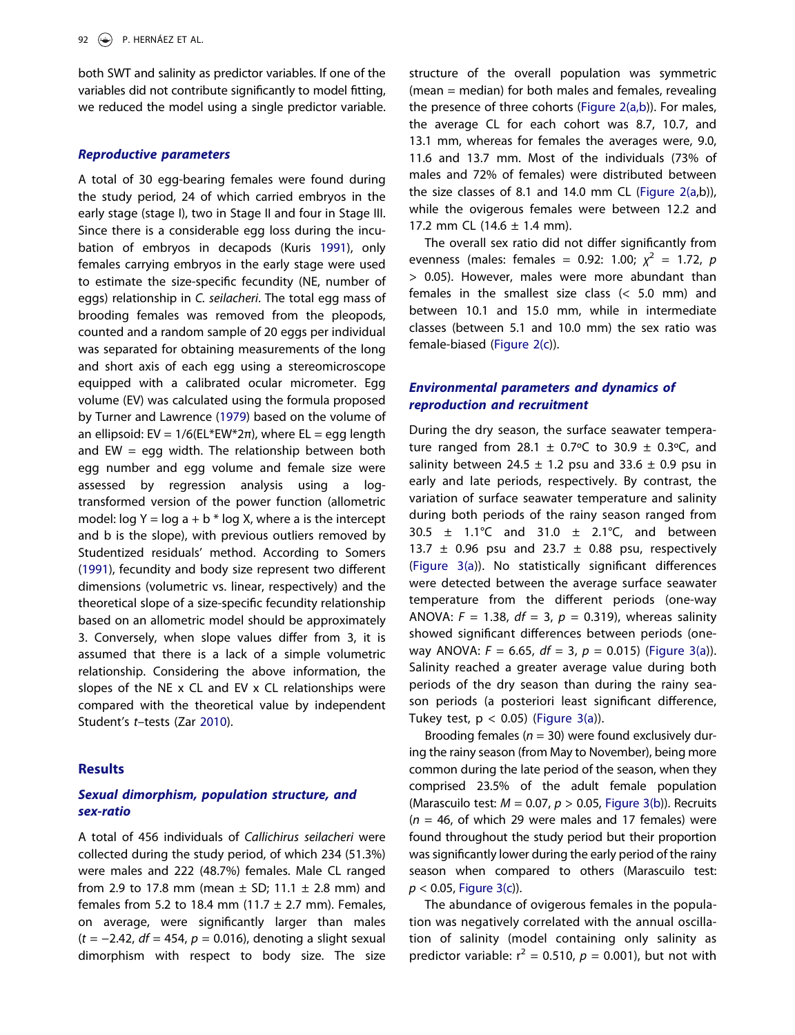both SWT and salinity as predictor variables. If one of the variables did not contribute significantly to model fitting, we reduced the model using a single predictor variable.

#### Reproductive parameters

<span id="page-5-2"></span><span id="page-5-0"></span>A total of 30 egg-bearing females were found during the study period, 24 of which carried embryos in the early stage (stage I), two in Stage II and four in Stage III. Since there is a considerable egg loss during the incubation of embryos in decapods (Kuris [1991\)](#page-12-16), only females carrying embryos in the early stage were used to estimate the size-specific fecundity (NE, number of eggs) relationship in C. seilacheri. The total egg mass of brooding females was removed from the pleopods, counted and a random sample of 20 eggs per individual was separated for obtaining measurements of the long and short axis of each egg using a stereomicroscope equipped with a calibrated ocular micrometer. Egg volume (EV) was calculated using the formula proposed by Turner and Lawrence [\(1979\)](#page-12-17) based on the volume of an ellipsoid: EV =  $1/6$ (EL\*EW\*2π), where EL = egg length and EW  $=$  egg width. The relationship between both egg number and egg volume and female size were assessed by regression analysis using a logtransformed version of the power function (allometric model:  $log Y = log a + b * log X$ , where a is the intercept and b is the slope), with previous outliers removed by Studentized residuals' method. According to Somers ([1991](#page-12-18)), fecundity and body size represent two different dimensions (volumetric vs. linear, respectively) and the theoretical slope of a size-specific fecundity relationship based on an allometric model should be approximately 3. Conversely, when slope values differ from 3, it is assumed that there is a lack of a simple volumetric relationship. Considering the above information, the slopes of the NE x CL and EV x CL relationships were compared with the theoretical value by independent Student's t–tests (Zar [2010\)](#page-12-15).

# <span id="page-5-1"></span>**Results**

# Sexual dimorphism, population structure, and sex-ratio

A total of 456 individuals of Callichirus seilacheri were collected during the study period, of which 234 (51.3%) were males and 222 (48.7%) females. Male CL ranged from 2.9 to 17.8 mm (mean  $\pm$  SD; 11.1  $\pm$  2.8 mm) and females from 5.2 to 18.4 mm (11.7  $\pm$  2.7 mm). Females, on average, were significantly larger than males  $(t = -2.42, df = 454, p = 0.016)$ , denoting a slight sexual dimorphism with respect to body size. The size structure of the overall population was symmetric (mean = median) for both males and females, revealing the presence of three cohorts [\(Figure 2\(a,b\)](#page-6-0)). For males, the average CL for each cohort was 8.7, 10.7, and 13.1 mm, whereas for females the averages were, 9.0, 11.6 and 13.7 mm. Most of the individuals (73% of males and 72% of females) were distributed between the size classes of 8.1 and 14.0 mm CL (Figure  $2(a,b)$ ), while the ovigerous females were between 12.2 and 17.2 mm CL  $(14.6 \pm 1.4 \text{ mm})$ .

The overall sex ratio did not differ significantly from evenness (males: females = 0.92: 1.00;  $\chi^2$  = 1.72, p > 0.05). However, males were more abundant than females in the smallest size class (< 5.0 mm) and between 10.1 and 15.0 mm, while in intermediate classes (between 5.1 and 10.0 mm) the sex ratio was female-biased ([Figure 2\(c](#page-6-0))).

# Environmental parameters and dynamics of reproduction and recruitment

During the dry season, the surface seawater temperature ranged from 28.1  $\pm$  0.7°C to 30.9  $\pm$  0.3°C, and salinity between 24.5  $\pm$  1.2 psu and 33.6  $\pm$  0.9 psu in early and late periods, respectively. By contrast, the variation of surface seawater temperature and salinity during both periods of the rainy season ranged from 30.5  $\pm$  1.1°C and 31.0  $\pm$  2.1°C, and between 13.7  $\pm$  0.96 psu and 23.7  $\pm$  0.88 psu, respectively ([Figure 3\(a\)](#page-7-0)). No statistically significant differences were detected between the average surface seawater temperature from the different periods (one-way ANOVA:  $F = 1.38$ ,  $df = 3$ ,  $p = 0.319$ ), whereas salinity showed significant differences between periods (oneway ANOVA:  $F = 6.65$ ,  $df = 3$ ,  $p = 0.015$ ) ([Figure 3\(a\)](#page-7-0)). Salinity reached a greater average value during both periods of the dry season than during the rainy season periods (a posteriori least significant difference, Tukey test,  $p < 0.05$ ) ([Figure 3\(a](#page-7-0))).

Brooding females ( $n = 30$ ) were found exclusively during the rainy season (from May to November), being more common during the late period of the season, when they comprised 23.5% of the adult female population (Marascuilo test:  $M = 0.07$ ,  $p > 0.05$ , [Figure 3\(b](#page-7-0))). Recruits  $(n = 46,$  of which 29 were males and 17 females) were found throughout the study period but their proportion was significantly lower during the early period of the rainy season when compared to others (Marascuilo test:  $p < 0.05$ , [Figure 3\(c\)](#page-7-0)).

The abundance of ovigerous females in the population was negatively correlated with the annual oscillation of salinity (model containing only salinity as predictor variable:  $r^2 = 0.510$ ,  $p = 0.001$ ), but not with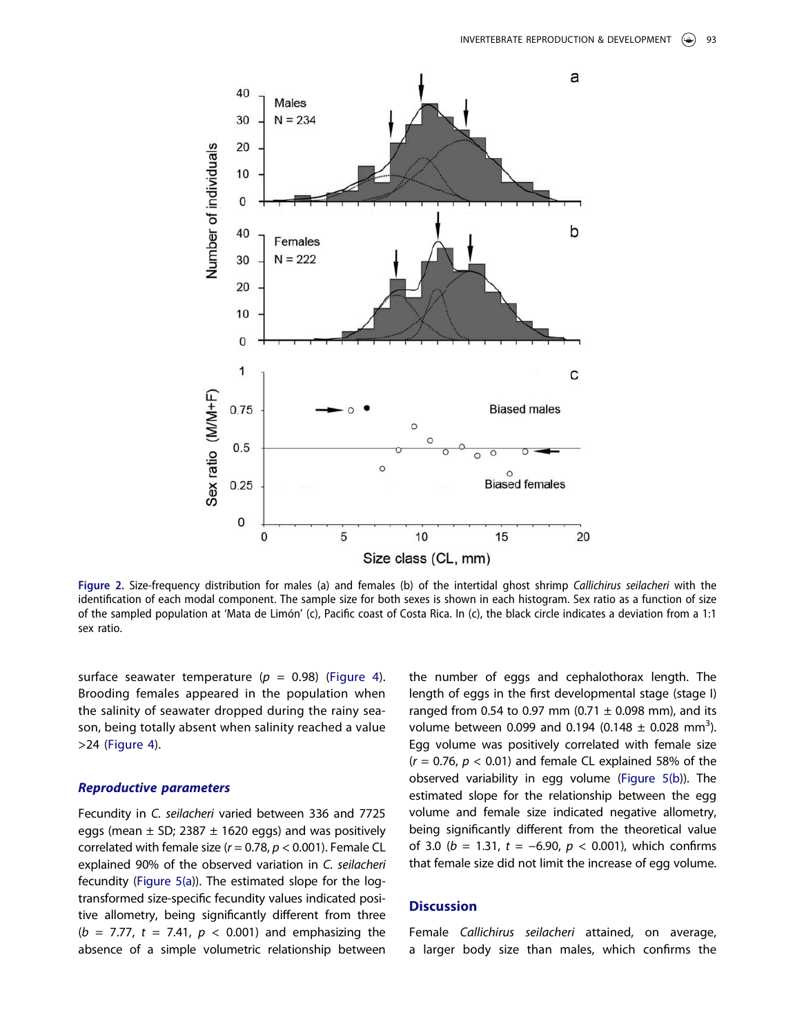<span id="page-6-0"></span>

Figure 2. Size-frequency distribution for males (a) and females (b) of the intertidal ghost shrimp Callichirus seilacheri with the identification of each modal component. The sample size for both sexes is shown in each histogram. Sex ratio as a function of size of the sampled population at 'Mata de Limón' (c), Pacific coast of Costa Rica. In (c), the black circle indicates a deviation from a 1:1 sex ratio.

surface seawater temperature ( $p = 0.98$ ) ([Figure 4\)](#page-7-1). Brooding females appeared in the population when the salinity of seawater dropped during the rainy season, being totally absent when salinity reached a value >24 ([Figure 4](#page-7-1)).

#### Reproductive parameters

Fecundity in C. seilacheri varied between 336 and 7725 eggs (mean  $\pm$  SD; 2387  $\pm$  1620 eggs) and was positively correlated with female size ( $r = 0.78$ ,  $p < 0.001$ ). Female CL explained 90% of the observed variation in C. seilacheri fecundity [\(Figure 5\(a](#page-7-2))). The estimated slope for the logtransformed size-specific fecundity values indicated positive allometry, being significantly different from three ( $b = 7.77$ ,  $t = 7.41$ ,  $p < 0.001$ ) and emphasizing the absence of a simple volumetric relationship between the number of eggs and cephalothorax length. The length of eggs in the first developmental stage (stage I) ranged from 0.54 to 0.97 mm (0.71  $\pm$  0.098 mm), and its volume between 0.099 and 0.194 (0.148  $\pm$  0.028 mm<sup>3</sup>). Egg volume was positively correlated with female size  $(r = 0.76, p < 0.01)$  and female CL explained 58% of the observed variability in egg volume [\(Figure 5\(b](#page-7-2))). The estimated slope for the relationship between the egg volume and female size indicated negative allometry, being significantly different from the theoretical value of 3.0 ( $b = 1.31$ ,  $t = -6.90$ ,  $p < 0.001$ ), which confirms that female size did not limit the increase of egg volume.

### **Discussion**

Female Callichirus seilacheri attained, on average, a larger body size than males, which confirms the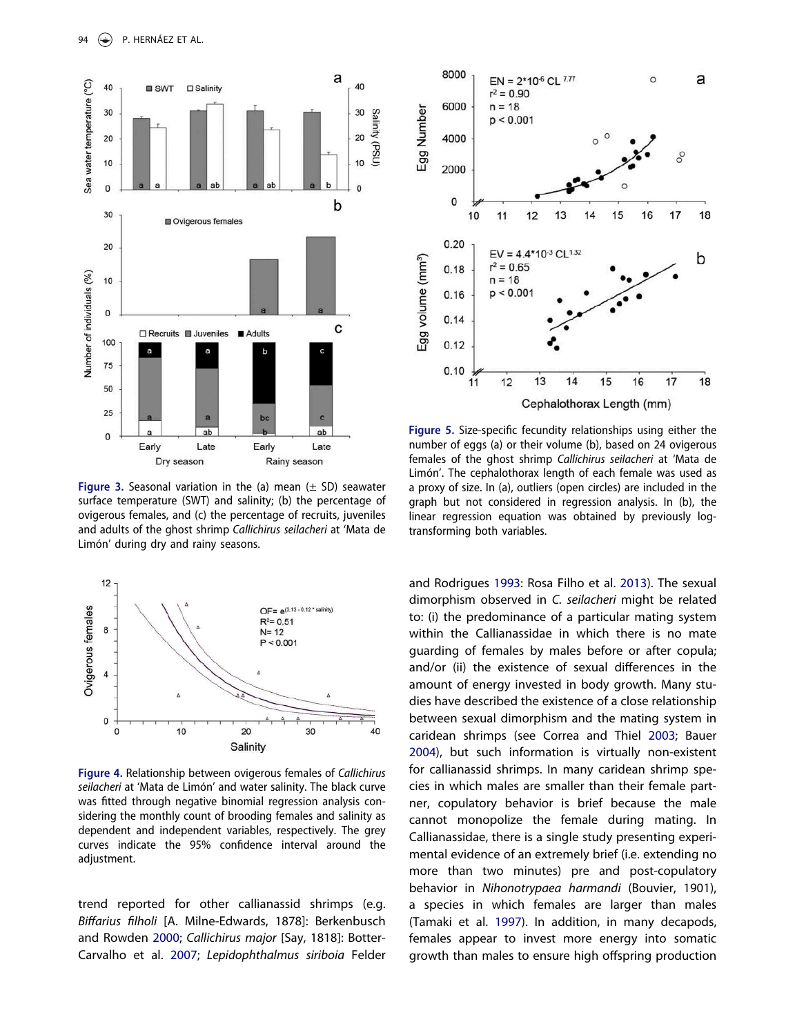<span id="page-7-0"></span>

**Figure 3.** Seasonal variation in the (a) mean  $(\pm$  SD) seawater surface temperature (SWT) and salinity; (b) the percentage of ovigerous females, and (c) the percentage of recruits, juveniles and adults of the ghost shrimp Callichirus seilacheri at 'Mata de Limón' during dry and rainy seasons.

<span id="page-7-1"></span>

Figure 4. Relationship between ovigerous females of Callichirus seilacheri at 'Mata de Limón' and water salinity. The black curve was fitted through negative binomial regression analysis considering the monthly count of brooding females and salinity as dependent and independent variables, respectively. The grey curves indicate the 95% confidence interval around the adjustment.

<span id="page-7-5"></span><span id="page-7-4"></span>trend reported for other callianassid shrimps (e.g. Biffarius filholi [A. Milne-Edwards, 1878]: Berkenbusch and Rowden [2000;](#page-10-4) Callichirus major [Say, 1818]: Botter-Carvalho et al. [2007](#page-10-5); Lepidophthalmus siriboia Felder

<span id="page-7-2"></span>

Figure 5. Size-specifi<sup>c</sup> fecundity relationships using either the number of eggs (a) or their volume (b), based on 24 ovigerous females of the ghost shrimp Callichirus seilacheri at 'Mata de Limón'. The cephalothorax length of each female was used as a proxy of size. In (a), outliers (open circles) are included in the graph but not considered in regression analysis. In (b), the linear regression equation was obtained by previously logtransforming both variables.

<span id="page-7-7"></span><span id="page-7-6"></span><span id="page-7-3"></span>and Rodrigues [1993](#page-11-17): Rosa Filho et al. [2013](#page-12-19)). The sexual dimorphism observed in C. seilacheri might be related to: (i) the predominance of a particular mating system within the Callianassidae in which there is no mate guarding of females by males before or after copula; and/or (ii) the existence of sexual differences in the amount of energy invested in body growth. Many studies have described the existence of a close relationship between sexual dimorphism and the mating system in caridean shrimps (see Correa and Thiel [2003;](#page-11-18) Bauer [2004](#page-10-6)), but such information is virtually non-existent for callianassid shrimps. In many caridean shrimp species in which males are smaller than their female partner, copulatory behavior is brief because the male cannot monopolize the female during mating. In Callianassidae, there is a single study presenting experimental evidence of an extremely brief (i.e. extending no more than two minutes) pre and post-copulatory behavior in Nihonotrypaea harmandi (Bouvier, 1901), a species in which females are larger than males (Tamaki et al. [1997\)](#page-12-20). In addition, in many decapods, females appear to invest more energy into somatic growth than males to ensure high offspring production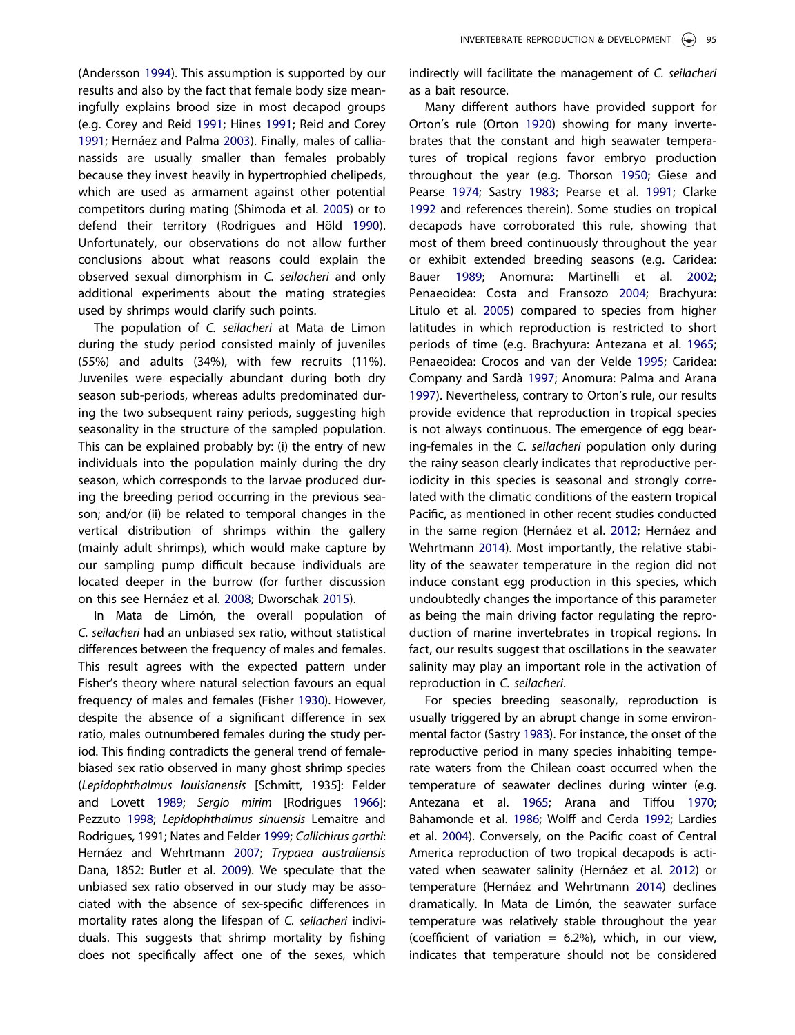<span id="page-8-19"></span><span id="page-8-12"></span><span id="page-8-6"></span><span id="page-8-0"></span>(Andersson [1994](#page-10-7)). This assumption is supported by our results and also by the fact that female body size meaningfully explains brood size in most decapod groups (e.g. Corey and Reid [1991](#page-11-19); Hines [1991](#page-11-20); Reid and Corey [1991;](#page-12-21) Hernáez and Palma [2003\)](#page-11-21). Finally, males of callianassids are usually smaller than females probably because they invest heavily in hypertrophied chelipeds, which are used as armament against other potential competitors during mating (Shimoda et al. [2005](#page-12-22)) or to defend their territory (Rodrigues and Höld [1990\)](#page-12-23). Unfortunately, our observations do not allow further conclusions about what reasons could explain the observed sexual dimorphism in C. seilacheri and only additional experiments about the mating strategies used by shrimps would clarify such points.

<span id="page-8-18"></span>The population of C. seilacheri at Mata de Limon during the study period consisted mainly of juveniles (55%) and adults (34%), with few recruits (11%). Juveniles were especially abundant during both dry season sub-periods, whereas adults predominated during the two subsequent rainy periods, suggesting high seasonality in the structure of the sampled population. This can be explained probably by: (i) the entry of new individuals into the population mainly during the dry season, which corresponds to the larvae produced during the breeding period occurring in the previous season; and/or (ii) be related to temporal changes in the vertical distribution of shrimps within the gallery (mainly adult shrimps), which would make capture by our sampling pump difficult because individuals are located deeper in the burrow (for further discussion on this see Hernáez et al. [2008;](#page-11-12) Dworschak [2015\)](#page-11-22).

<span id="page-8-17"></span><span id="page-8-16"></span><span id="page-8-11"></span><span id="page-8-10"></span><span id="page-8-9"></span><span id="page-8-4"></span>In Mata de Limón, the overall population of C. seilacheri had an unbiased sex ratio, without statistical differences between the frequency of males and females. This result agrees with the expected pattern under Fisher's theory where natural selection favours an equal frequency of males and females (Fisher [1930\)](#page-11-23). However, despite the absence of a significant difference in sex ratio, males outnumbered females during the study period. This finding contradicts the general trend of femalebiased sex ratio observed in many ghost shrimp species (Lepidophthalmus louisianensis [Schmitt, 1935]: Felder and Lovett [1989](#page-11-24); Sergio mirim [Rodrigues [1966\]](#page-12-11): Pezzuto [1998;](#page-12-24) Lepidophthalmus sinuensis Lemaitre and Rodrigues, 1991; Nates and Felder [1999](#page-12-25); Callichirus garthi: Hernáez and Wehrtmann [2007](#page-11-11); Trypaea australiensis Dana, 1852: Butler et al. [2009\)](#page-11-25). We speculate that the unbiased sex ratio observed in our study may be associated with the absence of sex-specific differences in mortality rates along the lifespan of C. seilacheri individuals. This suggests that shrimp mortality by fishing does not specifically affect one of the sexes, which indirectly will facilitate the management of C. seilacheri as a bait resource.

<span id="page-8-15"></span><span id="page-8-8"></span><span id="page-8-7"></span><span id="page-8-5"></span><span id="page-8-3"></span>Many different authors have provided support for Orton's rule (Orton [1920](#page-12-1)) showing for many invertebrates that the constant and high seawater temperatures of tropical regions favor embryo production throughout the year (e.g. Thorson [1950;](#page-12-2) Giese and Pearse [1974](#page-11-0); Sastry [1983;](#page-12-0) Pearse et al. [1991;](#page-12-3) Clarke [1992](#page-11-1) and references therein). Some studies on tropical decapods have corroborated this rule, showing that most of them breed continuously throughout the year or exhibit extended breeding seasons (e.g. Caridea: Bauer [1989;](#page-10-8) Anomura: Martinelli et al. [2002](#page-12-26); Penaeoidea: Costa and Fransozo [2004](#page-11-26); Brachyura: Litulo et al. [2005](#page-12-27)) compared to species from higher latitudes in which reproduction is restricted to short periods of time (e.g. Brachyura: Antezana et al. [1965](#page-10-9); Penaeoidea: Crocos and van der Velde [1995](#page-11-27); Caridea: Company and Sardà [1997](#page-11-28); Anomura: Palma and Arana [1997](#page-12-28)). Nevertheless, contrary to Orton's rule, our results provide evidence that reproduction in tropical species is not always continuous. The emergence of egg bearing-females in the C. seilacheri population only during the rainy season clearly indicates that reproductive periodicity in this species is seasonal and strongly correlated with the climatic conditions of the eastern tropical Pacific, as mentioned in other recent studies conducted in the same region (Hernáez et al. [2012;](#page-11-5) Hernáez and Wehrtmann [2014](#page-11-29)). Most importantly, the relative stability of the seawater temperature in the region did not induce constant egg production in this species, which undoubtedly changes the importance of this parameter as being the main driving factor regulating the reproduction of marine invertebrates in tropical regions. In fact, our results suggest that oscillations in the seawater salinity may play an important role in the activation of reproduction in C. seilacheri.

<span id="page-8-14"></span><span id="page-8-13"></span><span id="page-8-2"></span><span id="page-8-1"></span>For species breeding seasonally, reproduction is usually triggered by an abrupt change in some environmental factor (Sastry [1983](#page-12-0)). For instance, the onset of the reproductive period in many species inhabiting temperate waters from the Chilean coast occurred when the temperature of seawater declines during winter (e.g. Antezana et al. [1965;](#page-10-9) Arana and Tiffou [1970](#page-10-10); Bahamonde et al. [1986](#page-10-11); Wolff and Cerda [1992](#page-12-29); Lardies et al. [2004](#page-12-30)). Conversely, on the Pacific coast of Central America reproduction of two tropical decapods is activated when seawater salinity (Hernáez et al. [2012](#page-11-5)) or temperature (Hernáez and Wehrtmann [2014\)](#page-11-29) declines dramatically. In Mata de Limón, the seawater surface temperature was relatively stable throughout the year (coefficient of variation  $= 6.2\%$ ), which, in our view, indicates that temperature should not be considered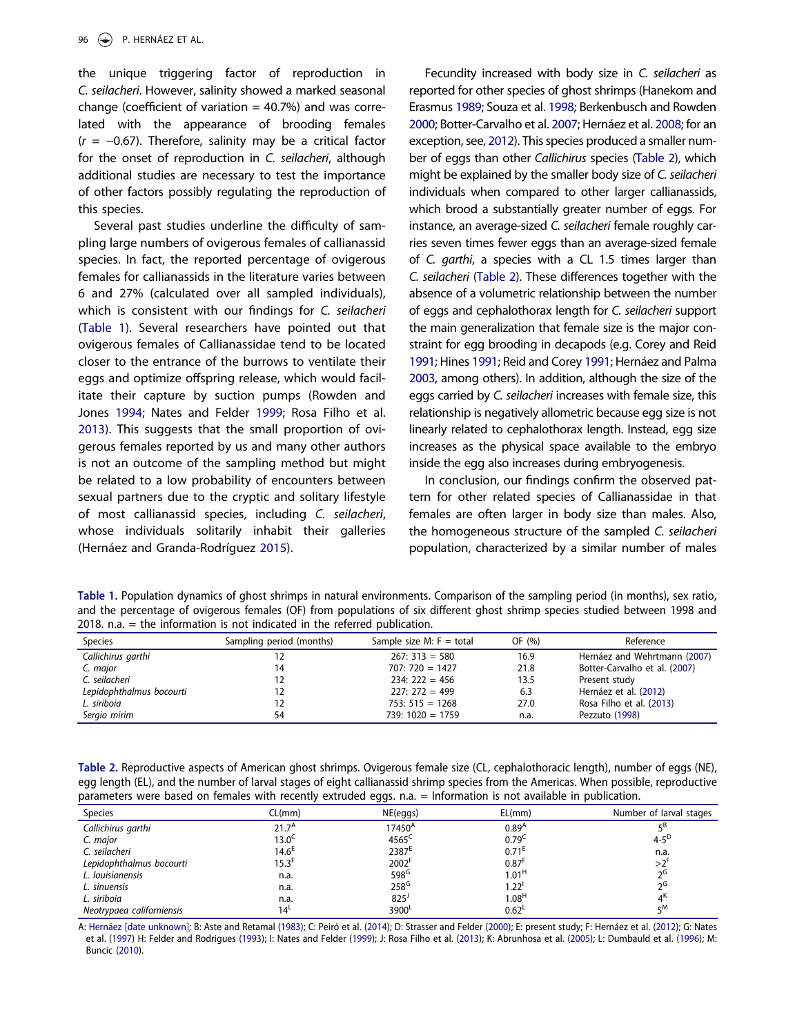the unique triggering factor of reproduction in C. seilacheri. However, salinity showed a marked seasonal change (coefficient of variation  $= 40.7%$ ) and was correlated with the appearance of brooding females  $(r = -0.67)$ . Therefore, salinity may be a critical factor for the onset of reproduction in C. seilacheri, although additional studies are necessary to test the importance of other factors possibly regulating the reproduction of this species.

<span id="page-9-6"></span>Several past studies underline the difficulty of sampling large numbers of ovigerous females of callianassid species. In fact, the reported percentage of ovigerous females for callianassids in the literature varies between 6 and 27% (calculated over all sampled individuals), which is consistent with our findings for C. seilacheri ([Table 1](#page-9-0)). Several researchers have pointed out that ovigerous females of Callianassidae tend to be located closer to the entrance of the burrows to ventilate their eggs and optimize offspring release, which would facilitate their capture by suction pumps (Rowden and Jones [1994](#page-12-31); Nates and Felder [1999;](#page-12-25) Rosa Filho et al. [2013\)](#page-12-19). This suggests that the small proportion of ovigerous females reported by us and many other authors is not an outcome of the sampling method but might be related to a low probability of encounters between sexual partners due to the cryptic and solitary lifestyle of most callianassid species, including C. seilacheri, whose individuals solitarily inhabit their galleries (Hernáez and Granda-Rodríguez [2015\)](#page-11-10).

<span id="page-9-5"></span>Fecundity increased with body size in C. seilacheri as reported for other species of ghost shrimps (Hanekom and Erasmus [1989](#page-11-30); Souza et al. [1998](#page-11-31); Berkenbusch and Rowden [2000](#page-10-4); Botter-Carvalho et al. [2007;](#page-10-5) Hernáez et al. [2008](#page-11-12); for an exception, see, [2012](#page-11-5)). This species produced a smaller number of eggs than other Callichirus species [\(Table 2](#page-9-1)), which might be explained by the smaller body size of C. seilacheri individuals when compared to other larger callianassids, which brood a substantially greater number of eggs. For instance, an average-sized C. seilacheri female roughly carries seven times fewer eggs than an average-sized female of C. garthi, a species with a CL 1.5 times larger than C. seilacheri ([Table 2](#page-9-1)). These differences together with the absence of a volumetric relationship between the number of eggs and cephalothorax length for C. seilacheri support the main generalization that female size is the major constraint for egg brooding in decapods (e.g. Corey and Reid [1991](#page-11-19); Hines [1991;](#page-11-20) Reid and Corey [1991;](#page-12-21) Hernáez and Palma [2003](#page-11-21), among others). In addition, although the size of the eggs carried by C. seilacheri increases with female size, this relationship is negatively allometric because egg size is not linearly related to cephalothorax length. Instead, egg size increases as the physical space available to the embryo inside the egg also increases during embryogenesis.

In conclusion, our findings confirm the observed pattern for other related species of Callianassidae in that females are often larger in body size than males. Also, the homogeneous structure of the sampled C. seilacheri population, characterized by a similar number of males

<span id="page-9-0"></span>Table 1. Population dynamics of ghost shrimps in natural environments. Comparison of the sampling period (in months), sex ratio, and the percentage of ovigerous females (OF) from populations of six different ghost shrimp species studied between 1998 and 2018. n.a. = the information is not indicated in the referred publication.

| <b>Species</b>           | Sampling period (months) | Sample size M: $F = total$ | OF (%) | Reference                     |
|--------------------------|--------------------------|----------------------------|--------|-------------------------------|
| Callichirus garthi       |                          | $267:313 = 580$            | 16.9   | Hernáez and Wehrtmann (2007)  |
| C. major                 | 14                       | $707:720 = 1427$           | 21.8   | Botter-Carvalho et al. (2007) |
| C. seilacheri            |                          | $234:222 = 456$            | 13.5   | Present study                 |
| Lepidophthalmus bocourti |                          | $227:272=499$              | 6.3    | Hernáez et al. (2012)         |
| L. siriboia              |                          | $753:515 = 1268$           | 27.0   | Rosa Filho et al. (2013)      |
| Sergio mirim             | 54                       | $739:1020 = 1759$          | n.a.   | Pezzuto (1998)                |

<span id="page-9-1"></span>Table 2. Reproductive aspects of American ghost shrimps. Ovigerous female size (CL, cephalothoracic length), number of eggs (NE), egg length (EL), and the number of larval stages of eight callianassid shrimp species from the Americas. When possible, reproductive parameters were based on females with recently extruded eggs. n.a. = Information is not available in publication.

| CL(mm)                    | NE(eggs)           | EL(mm)              | Number of larval stages |
|---------------------------|--------------------|---------------------|-------------------------|
| 21.7 $\mathrm{^{\prime}}$ | 17450 <sup>A</sup> | $0.89^{h}$          |                         |
| $13.0^\circ$              | $4565^{\circ}$     | 0.79                | $4 - 5^{U}$             |
| $14.6^{\circ}$            | 2387 <sup>E</sup>  | 0.71                | n.a.                    |
| 15.3'                     | 2002 <sup>F</sup>  | $0.87$ <sup>t</sup> |                         |
| n.a.                      | $598^G$            | 1.01 <sup>H</sup>   |                         |
| n.a.                      | $258^G$            | $1.22^{\circ}$      |                         |
| n.a.                      | 825'               | 1.08 <sup>H</sup>   |                         |
| 14 <sup>L</sup>           | 3900 <sup>L</sup>  | 0.62                | rM                      |
|                           |                    | --                  |                         |

<span id="page-9-4"></span><span id="page-9-3"></span><span id="page-9-2"></span>A: [Hernáez \[date unknown\]](#page-11-13); B: Aste and Retamal [\(1983\)](#page-10-12); C: Peiró et al. ([2014\)](#page-12-32); D: Strasser and Felder [\(2000\)](#page-12-33); E: present study; F: Hernáez et al. ([2012](#page-11-5)); G: Nates et al. ([1997](#page-12-34)) H: Felder and Rodrigues [\(1993\)](#page-11-17); I: Nates and Felder [\(1999](#page-12-25)); J: Rosa Filho et al. [\(2013](#page-12-19)); K: Abrunhosa et al. [\(2005\)](#page-10-13); L: Dumbauld et al. ([1996](#page-11-32)); M: Buncic [\(2010](#page-11-33)).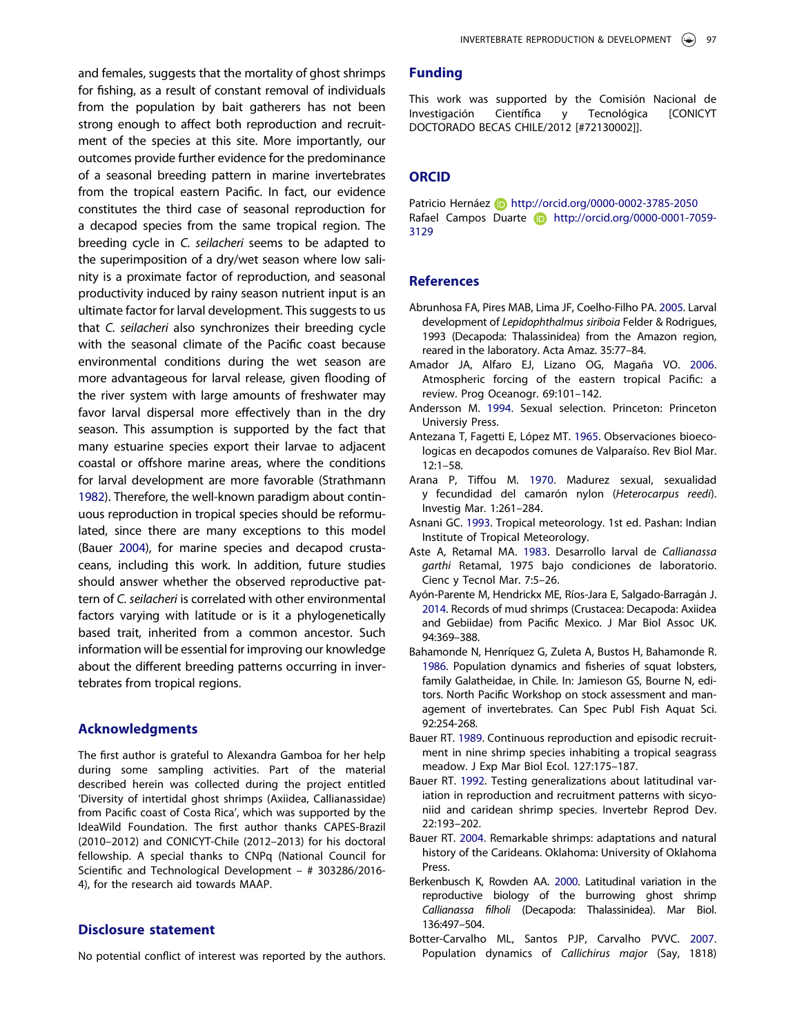and females, suggests that the mortality of ghost shrimps for fishing, as a result of constant removal of individuals from the population by bait gatherers has not been strong enough to affect both reproduction and recruitment of the species at this site. More importantly, our outcomes provide further evidence for the predominance of a seasonal breeding pattern in marine invertebrates from the tropical eastern Pacific. In fact, our evidence constitutes the third case of seasonal reproduction for a decapod species from the same tropical region. The breeding cycle in C. seilacheri seems to be adapted to the superimposition of a dry/wet season where low salinity is a proximate factor of reproduction, and seasonal productivity induced by rainy season nutrient input is an ultimate factor for larval development. This suggests to us that C. seilacheri also synchronizes their breeding cycle with the seasonal climate of the Pacific coast because environmental conditions during the wet season are more advantageous for larval release, given flooding of the river system with large amounts of freshwater may favor larval dispersal more effectively than in the dry season. This assumption is supported by the fact that many estuarine species export their larvae to adjacent coastal or offshore marine areas, where the conditions for larval development are more favorable (Strathmann [1982](#page-12-35)). Therefore, the well-known paradigm about continuous reproduction in tropical species should be reformulated, since there are many exceptions to this model (Bauer [2004](#page-10-6)), for marine species and decapod crustaceans, including this work. In addition, future studies should answer whether the observed reproductive pattern of C. seilacheri is correlated with other environmental factors varying with latitude or is it a phylogenetically based trait, inherited from a common ancestor. Such information will be essential for improving our knowledge about the different breeding patterns occurring in invertebrates from tropical regions.

#### <span id="page-10-14"></span>Acknowledgments

The first author is grateful to Alexandra Gamboa for her help during some sampling activities. Part of the material described herein was collected during the project entitled 'Diversity of intertidal ghost shrimps (Axiidea, Callianassidae) from Pacific coast of Costa Rica', which was supported by the IdeaWild Foundation. The first author thanks CAPES-Brazil (2010–2012) and CONICYT-Chile (2012–2013) for his doctoral fellowship. A special thanks to CNPq (National Council for Scientific and Technological Development – # 303286/2016- 4), for the research aid towards MAAP.

# Disclosure statement

No potential conflict of interest was reported by the authors.

# Funding

This work was supported by the Comisión Nacional de Investigación Científica y Tecnológica [CONICYT DOCTORADO BECAS CHILE/2012 [#72130002]].

# **ORCID**

Patricio Hernáez **http://orcid.org/0000-0002-3785-2050** Rafael Campos Duarte **http://orcid.org/0000-0001-7059-**3129

#### References

- <span id="page-10-13"></span>Abrunhosa FA, Pires MAB, Lima JF, Coelho-Filho PA. [2005.](#page-9-2) Larval development of Lepidophthalmus siriboia Felder & Rodrigues, 1993 (Decapoda: Thalassinidea) from the Amazon region, reared in the laboratory. Acta Amaz. 35:77–84.
- <span id="page-10-2"></span>Amador JA, Alfaro EJ, Lizano OG, Magaña VO. [2006.](#page-1-4) Atmospheric forcing of the eastern tropical Pacific: a review. Prog Oceanogr. 69:101–142.
- <span id="page-10-7"></span>Andersson M. [1994.](#page-8-0) Sexual selection. Princeton: Princeton Universiy Press.
- <span id="page-10-9"></span>Antezana T, Fagetti E, López MT. [1965.](#page-8-1) Observaciones bioecologicas en decapodos comunes de Valparaíso. Rev Biol Mar. 12:1–58.
- <span id="page-10-10"></span>Arana P, Tiffou M. [1970](#page-8-1). Madurez sexual, sexualidad y fecundidad del camarón nylon (Heterocarpus reedi). Investig Mar. 1:261–284.
- <span id="page-10-1"></span>Asnani GC. [1993.](#page-1-5) Tropical meteorology. 1st ed. Pashan: Indian Institute of Tropical Meteorology.
- <span id="page-10-12"></span>Aste A, Retamal MA. [1983.](#page-9-3) Desarrollo larval de Callianassa garthi Retamal, 1975 bajo condiciones de laboratorio. Cienc y Tecnol Mar. 7:5–26.
- <span id="page-10-3"></span>Ayón-Parente M, Hendrickx ME, Ríos-Jara E, Salgado-Barragán J. [2014.](#page-2-0) Records of mud shrimps (Crustacea: Decapoda: Axiidea and Gebiidae) from Pacific Mexico. J Mar Biol Assoc UK. 94:369–388.
- <span id="page-10-11"></span>Bahamonde N, Henríquez G, Zuleta A, Bustos H, Bahamonde R. [1986.](#page-8-2) Population dynamics and fisheries of squat lobsters, family Galatheidae, in Chile. In: Jamieson GS, Bourne N, editors. North Pacific Workshop on stock assessment and management of invertebrates. Can Spec Publ Fish Aquat Sci. 92:254-268.
- <span id="page-10-8"></span>Bauer RT. [1989.](#page-8-3) Continuous reproduction and episodic recruitment in nine shrimp species inhabiting a tropical seagrass meadow. J Exp Mar Biol Ecol. 127:175–187.
- <span id="page-10-0"></span>Bauer RT. [1992.](#page-1-6) Testing generalizations about latitudinal variation in reproduction and recruitment patterns with sicyoniid and caridean shrimp species. Invertebr Reprod Dev. 22:193–202.
- <span id="page-10-6"></span>Bauer RT. [2004.](#page-7-3) Remarkable shrimps: adaptations and natural history of the Carideans. Oklahoma: University of Oklahoma Press.
- <span id="page-10-4"></span>Berkenbusch K, Rowden AA. [2000](#page-7-4). Latitudinal variation in the reproductive biology of the burrowing ghost shrimp Callianassa filholi (Decapoda: Thalassinidea). Mar Biol. 136:497–504.
- <span id="page-10-5"></span>Botter-Carvalho ML, Santos PJP, Carvalho PVVC. [2007.](#page-7-5) Population dynamics of Callichirus major (Say, 1818)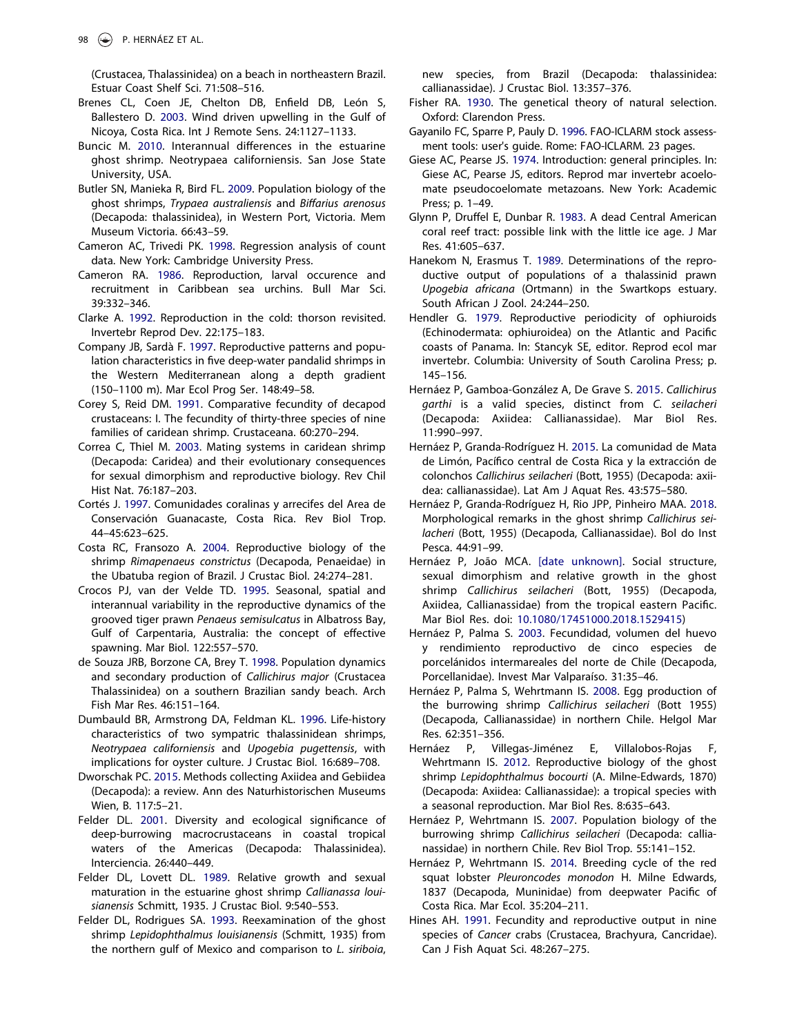(Crustacea, Thalassinidea) on a beach in northeastern Brazil. Estuar Coast Shelf Sci. 71:508–516.

- <span id="page-11-6"></span>Brenes CL, Coen JE, Chelton DB, Enfield DB, León S, Ballestero D. [2003](#page-1-7). Wind driven upwelling in the Gulf of Nicoya, Costa Rica. Int J Remote Sens. 24:1127–1133.
- <span id="page-11-33"></span>Buncic M. [2010](#page-9-4). Interannual differences in the estuarine ghost shrimp. Neotrypaea californiensis. San Jose State University, USA.
- <span id="page-11-25"></span>Butler SN, Manieka R, Bird FL. [2009](#page-8-4). Population biology of the ghost shrimps, Trypaea australiensis and Biffarius arenosus (Decapoda: thalassinidea), in Western Port, Victoria. Mem Museum Victoria. 66:43–59.
- <span id="page-11-16"></span>Cameron AC, Trivedi PK. [1998](#page-4-0). Regression analysis of count data. New York: Cambridge University Press.
- <span id="page-11-3"></span>Cameron RA. [1986](#page-1-8). Reproduction, larval occurence and recruitment in Caribbean sea urchins. Bull Mar Sci. 39:332–346.
- <span id="page-11-1"></span>Clarke A. [1992](#page-1-9). Reproduction in the cold: thorson revisited. Invertebr Reprod Dev. 22:175–183.
- <span id="page-11-28"></span>Company JB, Sardà F. [1997.](#page-8-5) Reproductive patterns and population characteristics in five deep-water pandalid shrimps in the Western Mediterranean along a depth gradient (150–1100 m). Mar Ecol Prog Ser. 148:49–58.
- <span id="page-11-19"></span>Corey S, Reid DM. [1991.](#page-8-6) Comparative fecundity of decapod crustaceans: I. The fecundity of thirty-three species of nine families of caridean shrimp. Crustaceana. 60:270–294.
- <span id="page-11-18"></span>Correa C, Thiel M. [2003.](#page-7-3) Mating systems in caridean shrimp (Decapoda: Caridea) and their evolutionary consequences for sexual dimorphism and reproductive biology. Rev Chil Hist Nat. 76:187–203.
- <span id="page-11-4"></span>Cortés J. [1997.](#page-1-10) Comunidades coralinas y arrecifes del Area de Conservación Guanacaste, Costa Rica. Rev Biol Trop. 44–45:623–625.
- <span id="page-11-26"></span>Costa RC, Fransozo A. [2004.](#page-8-7) Reproductive biology of the shrimp Rimapenaeus constrictus (Decapoda, Penaeidae) in the Ubatuba region of Brazil. J Crustac Biol. 24:274–281.
- <span id="page-11-27"></span>Crocos PJ, van der Velde TD. [1995](#page-8-8). Seasonal, spatial and interannual variability in the reproductive dynamics of the grooved tiger prawn Penaeus semisulcatus in Albatross Bay, Gulf of Carpentaria, Australia: the concept of effective spawning. Mar Biol. 122:557–570.
- <span id="page-11-31"></span>de Souza JRB, Borzone CA, Brey T. [1998](#page-9-5). Population dynamics and secondary production of Callichirus major (Crustacea Thalassinidea) on a southern Brazilian sandy beach. Arch Fish Mar Res. 46:151–164.
- <span id="page-11-32"></span>Dumbauld BR, Armstrong DA, Feldman KL. [1996](#page-9-2). Life-history characteristics of two sympatric thalassinidean shrimps, Neotrypaea californiensis and Upogebia pugettensis, with implications for oyster culture. J Crustac Biol. 16:689–708.
- <span id="page-11-22"></span>Dworschak PC. [2015.](#page-8-9) Methods collecting Axiidea and Gebiidea (Decapoda): a review. Ann des Naturhistorischen Museums Wien, B. 117:5–21.
- <span id="page-11-9"></span>Felder DL. [2001](#page-2-1). Diversity and ecological significance of deep-burrowing macrocrustaceans in coastal tropical waters of the Americas (Decapoda: Thalassinidea). Interciencia. 26:440–449.
- <span id="page-11-24"></span>Felder DL, Lovett DL. [1989](#page-8-10). Relative growth and sexual maturation in the estuarine ghost shrimp Callianassa louisianensis Schmitt, 1935. J Crustac Biol. 9:540–553.
- <span id="page-11-17"></span>Felder DL, Rodrigues SA. [1993.](#page-7-6) Reexamination of the ghost shrimp Lepidophthalmus louisianensis (Schmitt, 1935) from the northern gulf of Mexico and comparison to L. siriboia,

new species, from Brazil (Decapoda: thalassinidea: callianassidae). J Crustac Biol. 13:357–376.

- <span id="page-11-23"></span>Fisher RA. [1930](#page-8-11). The genetical theory of natural selection. Oxford: Clarendon Press.
- <span id="page-11-15"></span>Gayanilo FC, Sparre P, Pauly D. [1996](#page-4-1). FAO-ICLARM stock assessment tools: user's guide. Rome: FAO-ICLARM. 23 pages.
- <span id="page-11-0"></span>Giese AC, Pearse JS. [1974](#page-1-11). Introduction: general principles. In: Giese AC, Pearse JS, editors. Reprod mar invertebr acoelomate pseudocoelomate metazoans. New York: Academic Press; p. 1–49.
- <span id="page-11-7"></span>Glynn P, Druffel E, Dunbar R. [1983](#page-1-12). A dead Central American coral reef tract: possible link with the little ice age. J Mar Res. 41:605–637.
- <span id="page-11-30"></span>Hanekom N, Erasmus T. [1989.](#page-9-5) Determinations of the reproductive output of populations of a thalassinid prawn Upogebia africana (Ortmann) in the Swartkops estuary. South African J Zool. 24:244–250.
- <span id="page-11-2"></span>Hendler G. [1979.](#page-1-13) Reproductive periodicity of ophiuroids (Echinodermata: ophiuroidea) on the Atlantic and Pacific coasts of Panama. In: Stancyk SE, editor. Reprod ecol mar invertebr. Columbia: University of South Carolina Press; p. 145–156.
- <span id="page-11-8"></span>Hernáez P, Gamboa-González A, De Grave S. [2015.](#page-2-2) Callichirus garthi is a valid species, distinct from C. seilacheri (Decapoda: Axiidea: Callianassidae). Mar Biol Res. 11:990–997.
- <span id="page-11-10"></span>Hernáez P, Granda-Rodríguez H. [2015.](#page-2-3) La comunidad de Mata de Limón, Pacífico central de Costa Rica y la extracción de colonchos Callichirus seilacheri (Bott, 1955) (Decapoda: axiidea: callianassidae). Lat Am J Aquat Res. 43:575–580.
- <span id="page-11-14"></span>Hernáez P, Granda-Rodríguez H, Rio JPP, Pinheiro MAA. [2018.](#page-4-2) Morphological remarks in the ghost shrimp Callichirus seilacheri (Bott, 1955) (Decapoda, Callianassidae). Bol do Inst Pesca. 44:91–99.
- <span id="page-11-13"></span>Hernáez P, João MCA. [\[date unknown\]](#page-2-4). Social structure, sexual dimorphism and relative growth in the ghost shrimp Callichirus seilacheri (Bott, 1955) (Decapoda, Axiidea, Callianassidae) from the tropical eastern Pacific. Mar Biol Res. doi: [10.1080/17451000.2018.1529415](https://doi.org/10.1080/17451000.2018.1529415))
- <span id="page-11-21"></span>Hernáez P, Palma S. [2003.](#page-8-12) Fecundidad, volumen del huevo y rendimiento reproductivo de cinco especies de porcelánidos intermareales del norte de Chile (Decapoda, Porcellanidae). Invest Mar Valparaíso. 31:35–46.
- <span id="page-11-12"></span>Hernáez P, Palma S, Wehrtmann IS. [2008](#page-2-5). Egg production of the burrowing shrimp Callichirus seilacheri (Bott 1955) (Decapoda, Callianassidae) in northern Chile. Helgol Mar Res. 62:351–356.
- <span id="page-11-5"></span>Hernáez P, Villegas-Jiménez E, Villalobos-Rojas F, Wehrtmann IS. [2012.](#page-1-10) Reproductive biology of the ghost shrimp Lepidophthalmus bocourti (A. Milne-Edwards, 1870) (Decapoda: Axiidea: Callianassidae): a tropical species with a seasonal reproduction. Mar Biol Res. 8:635–643.
- <span id="page-11-11"></span>Hernáez P, Wehrtmann IS. [2007](#page-2-6). Population biology of the burrowing shrimp Callichirus seilacheri (Decapoda: callianassidae) in northern Chile. Rev Biol Trop. 55:141–152.
- <span id="page-11-29"></span>Hernáez P, Wehrtmann IS. [2014](#page-8-13). Breeding cycle of the red squat lobster Pleuroncodes monodon H. Milne Edwards, 1837 (Decapoda, Muninidae) from deepwater Pacific of Costa Rica. Mar Ecol. 35:204–211.
- <span id="page-11-20"></span>Hines AH. [1991](#page-8-6). Fecundity and reproductive output in nine species of Cancer crabs (Crustacea, Brachyura, Cancridae). Can J Fish Aquat Sci. 48:267–275.